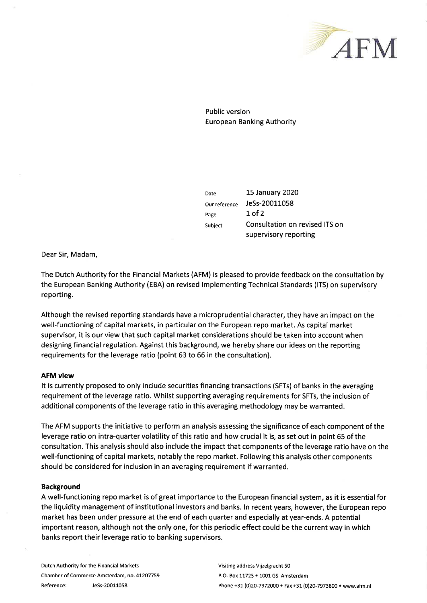

Public version **European Banking Authority** 

Date Our reference Page Subject 15 January 2020 JeSs-20011058  $1$  of  $2$ Consultation on revised ITS on supervisory reporting

Dear Sir, Madam,

The Dutch Authority for the Financial Markets (AFM) is pleased to provide feedback on the consultation by the European Banking Authority (EBA) on revised lmplementing Technical Standards (lTS) on supervisory reporting.

Although the revised reporting standards have a microprudential character, they have an impact on the well-functioning of capítal markets, in particular on the European repo market. As capital market supervisor, it is our view that such capital market considerations should be taken into account when designing financial regulation. Against this background, we hereby share our ideas on the reporting requirements for the leverage ratio (point 63 to 66 in the consultation).

## AFM view

It is currently proposed to only include securities financing transactions (SFTs) of banks in the averaging requirement of the leverage ratio. Whilst supporting averaging requirements for SFTs, the inclusion of additional components of the leverage ratio in this averaging methodology may be warranted.

The AFM supports the initiative to perform an analysis assessing the significance of each component of the leverage ratio on intra-quarter volatility of this ratio and how crucial it is, as set out in point 65 of the consultation. This analysis should also include the impact that components of the leverage ratio have on the well-functioning of capital markets, notably the repo market. Following this analysis other components should be considered for inclusion in an averaging requirement if warranted.

## Background

A well-functioning repo market is of great importance to the European financial system, as it is essential for the liquidity management of institutional investors and banks. ln recent years, however, the European repo market has been under pressure at the end of each quarter and especially at year-ends. A potential important reason, although not the only one, for this periodic effect could be the current way in which banks report their leverage ratio to banking supervisors.

Dutch Authority for the Financial Markets Chamber of Commerce Amsterdam, no.4L2O7759 Reference: JeSs-20011058

Visiting address Vijzelgracht 50 P.O. Box 11723 . 1001 GS Amsterdam Phone +31 (0)20-7972000 . Fax +31 (0)20-7973800 . www.afm.nl